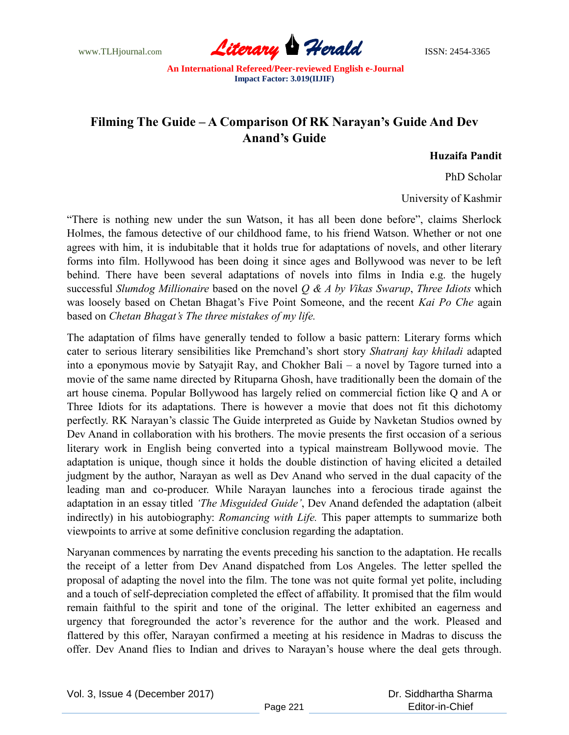

## **Filming The Guide – A Comparison Of RK Narayan's Guide And Dev Anand's Guide**

**Huzaifa Pandit**

PhD Scholar

University of Kashmir

"There is nothing new under the sun Watson, it has all been done before", claims Sherlock Holmes, the famous detective of our childhood fame, to his friend Watson. Whether or not one agrees with him, it is indubitable that it holds true for adaptations of novels, and other literary forms into film. Hollywood has been doing it since ages and Bollywood was never to be left behind. There have been several adaptations of novels into films in India e.g. the hugely successful *Slumdog Millionaire* based on the novel *Q & A by Vikas Swarup*, *Three Idiots* which was loosely based on Chetan Bhagat's Five Point Someone, and the recent *Kai Po Che* again based on *Chetan Bhagat's The three mistakes of my life.* 

The adaptation of films have generally tended to follow a basic pattern: Literary forms which cater to serious literary sensibilities like Premchand"s short story *Shatranj kay khiladi* adapted into a eponymous movie by Satyajit Ray, and Chokher Bali – a novel by Tagore turned into a movie of the same name directed by Rituparna Ghosh, have traditionally been the domain of the art house cinema. Popular Bollywood has largely relied on commercial fiction like Q and A or Three Idiots for its adaptations. There is however a movie that does not fit this dichotomy perfectly. RK Narayan"s classic The Guide interpreted as Guide by Navketan Studios owned by Dev Anand in collaboration with his brothers. The movie presents the first occasion of a serious literary work in English being converted into a typical mainstream Bollywood movie. The adaptation is unique, though since it holds the double distinction of having elicited a detailed judgment by the author, Narayan as well as Dev Anand who served in the dual capacity of the leading man and co-producer. While Narayan launches into a ferocious tirade against the adaptation in an essay titled *'The Misguided Guide'*, Dev Anand defended the adaptation (albeit indirectly) in his autobiography: *Romancing with Life.* This paper attempts to summarize both viewpoints to arrive at some definitive conclusion regarding the adaptation.

Naryanan commences by narrating the events preceding his sanction to the adaptation. He recalls the receipt of a letter from Dev Anand dispatched from Los Angeles. The letter spelled the proposal of adapting the novel into the film. The tone was not quite formal yet polite, including and a touch of self-depreciation completed the effect of affability. It promised that the film would remain faithful to the spirit and tone of the original. The letter exhibited an eagerness and urgency that foregrounded the actor's reverence for the author and the work. Pleased and flattered by this offer, Narayan confirmed a meeting at his residence in Madras to discuss the offer. Dev Anand flies to Indian and drives to Narayan"s house where the deal gets through.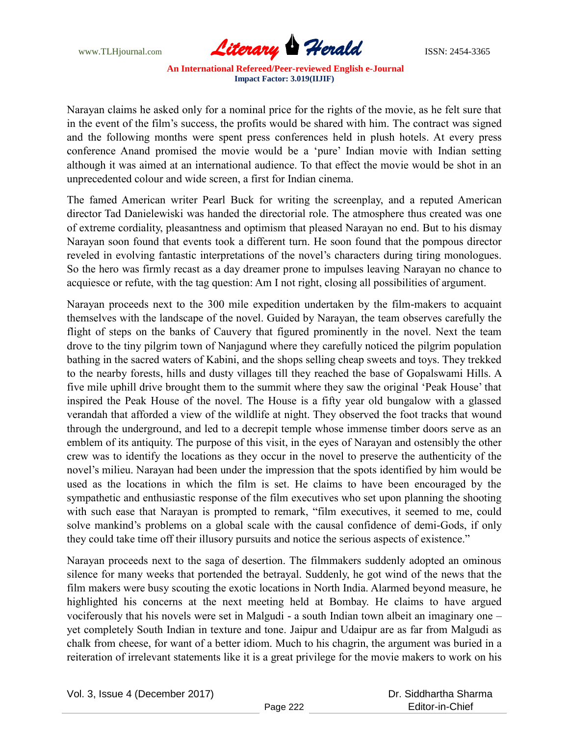

Narayan claims he asked only for a nominal price for the rights of the movie, as he felt sure that in the event of the film"s success, the profits would be shared with him. The contract was signed and the following months were spent press conferences held in plush hotels. At every press conference Anand promised the movie would be a "pure" Indian movie with Indian setting although it was aimed at an international audience. To that effect the movie would be shot in an unprecedented colour and wide screen, a first for Indian cinema.

The famed American writer Pearl Buck for writing the screenplay, and a reputed American director Tad Danielewiski was handed the directorial role. The atmosphere thus created was one of extreme cordiality, pleasantness and optimism that pleased Narayan no end. But to his dismay Narayan soon found that events took a different turn. He soon found that the pompous director reveled in evolving fantastic interpretations of the novel's characters during tiring monologues. So the hero was firmly recast as a day dreamer prone to impulses leaving Narayan no chance to acquiesce or refute, with the tag question: Am I not right, closing all possibilities of argument.

Narayan proceeds next to the 300 mile expedition undertaken by the film-makers to acquaint themselves with the landscape of the novel. Guided by Narayan, the team observes carefully the flight of steps on the banks of Cauvery that figured prominently in the novel. Next the team drove to the tiny pilgrim town of Nanjagund where they carefully noticed the pilgrim population bathing in the sacred waters of Kabini, and the shops selling cheap sweets and toys. They trekked to the nearby forests, hills and dusty villages till they reached the base of Gopalswami Hills. A five mile uphill drive brought them to the summit where they saw the original "Peak House" that inspired the Peak House of the novel. The House is a fifty year old bungalow with a glassed verandah that afforded a view of the wildlife at night. They observed the foot tracks that wound through the underground, and led to a decrepit temple whose immense timber doors serve as an emblem of its antiquity. The purpose of this visit, in the eyes of Narayan and ostensibly the other crew was to identify the locations as they occur in the novel to preserve the authenticity of the novel's milieu. Narayan had been under the impression that the spots identified by him would be used as the locations in which the film is set. He claims to have been encouraged by the sympathetic and enthusiastic response of the film executives who set upon planning the shooting with such ease that Narayan is prompted to remark, "film executives, it seemed to me, could solve mankind"s problems on a global scale with the causal confidence of demi-Gods, if only they could take time off their illusory pursuits and notice the serious aspects of existence."

Narayan proceeds next to the saga of desertion. The filmmakers suddenly adopted an ominous silence for many weeks that portended the betrayal. Suddenly, he got wind of the news that the film makers were busy scouting the exotic locations in North India. Alarmed beyond measure, he highlighted his concerns at the next meeting held at Bombay. He claims to have argued vociferously that his novels were set in Malgudi - a south Indian town albeit an imaginary one – yet completely South Indian in texture and tone. Jaipur and Udaipur are as far from Malgudi as chalk from cheese, for want of a better idiom. Much to his chagrin, the argument was buried in a reiteration of irrelevant statements like it is a great privilege for the movie makers to work on his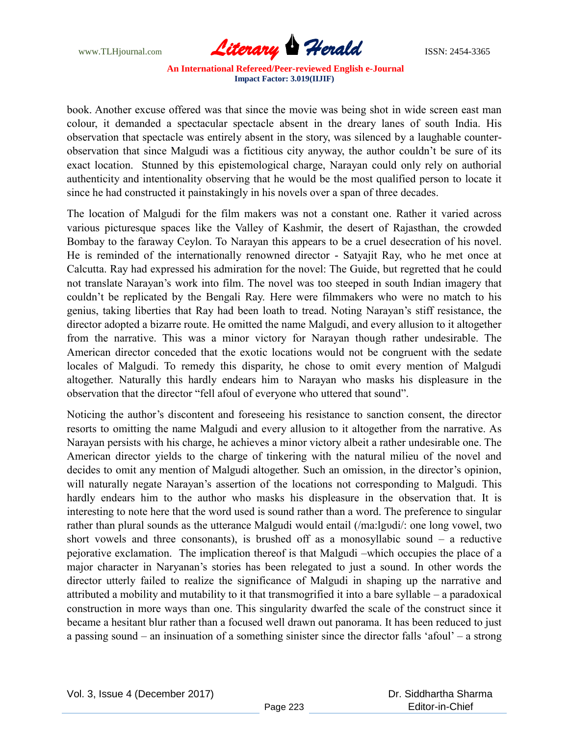

book. Another excuse offered was that since the movie was being shot in wide screen east man colour, it demanded a spectacular spectacle absent in the dreary lanes of south India. His observation that spectacle was entirely absent in the story, was silenced by a laughable counterobservation that since Malgudi was a fictitious city anyway, the author couldn"t be sure of its exact location. Stunned by this epistemological charge, Narayan could only rely on authorial authenticity and intentionality observing that he would be the most qualified person to locate it since he had constructed it painstakingly in his novels over a span of three decades.

The location of Malgudi for the film makers was not a constant one. Rather it varied across various picturesque spaces like the Valley of Kashmir, the desert of Rajasthan, the crowded Bombay to the faraway Ceylon. To Narayan this appears to be a cruel desecration of his novel. He is reminded of the internationally renowned director - Satyajit Ray, who he met once at Calcutta. Ray had expressed his admiration for the novel: The Guide, but regretted that he could not translate Narayan"s work into film. The novel was too steeped in south Indian imagery that couldn"t be replicated by the Bengali Ray. Here were filmmakers who were no match to his genius, taking liberties that Ray had been loath to tread. Noting Narayan"s stiff resistance, the director adopted a bizarre route. He omitted the name Malgudi, and every allusion to it altogether from the narrative. This was a minor victory for Narayan though rather undesirable. The American director conceded that the exotic locations would not be congruent with the sedate locales of Malgudi. To remedy this disparity, he chose to omit every mention of Malgudi altogether. Naturally this hardly endears him to Narayan who masks his displeasure in the observation that the director "fell afoul of everyone who uttered that sound".

Noticing the author's discontent and foreseeing his resistance to sanction consent, the director resorts to omitting the name Malgudi and every allusion to it altogether from the narrative. As Narayan persists with his charge, he achieves a minor victory albeit a rather undesirable one. The American director yields to the charge of tinkering with the natural milieu of the novel and decides to omit any mention of Malgudi altogether. Such an omission, in the director's opinion, will naturally negate Narayan's assertion of the locations not corresponding to Malgudi. This hardly endears him to the author who masks his displeasure in the observation that. It is interesting to note here that the word used is sound rather than a word. The preference to singular rather than plural sounds as the utterance Malgudi would entail (/ma:lgυdi/: one long vowel, two short vowels and three consonants), is brushed off as a monosyllabic sound – a reductive pejorative exclamation. The implication thereof is that Malgudi –which occupies the place of a major character in Naryanan"s stories has been relegated to just a sound. In other words the director utterly failed to realize the significance of Malgudi in shaping up the narrative and attributed a mobility and mutability to it that transmogrified it into a bare syllable – a paradoxical construction in more ways than one. This singularity dwarfed the scale of the construct since it became a hesitant blur rather than a focused well drawn out panorama. It has been reduced to just a passing sound – an insinuation of a something sinister since the director falls "afoul" – a strong

 Dr. Siddhartha Sharma Editor-in-Chief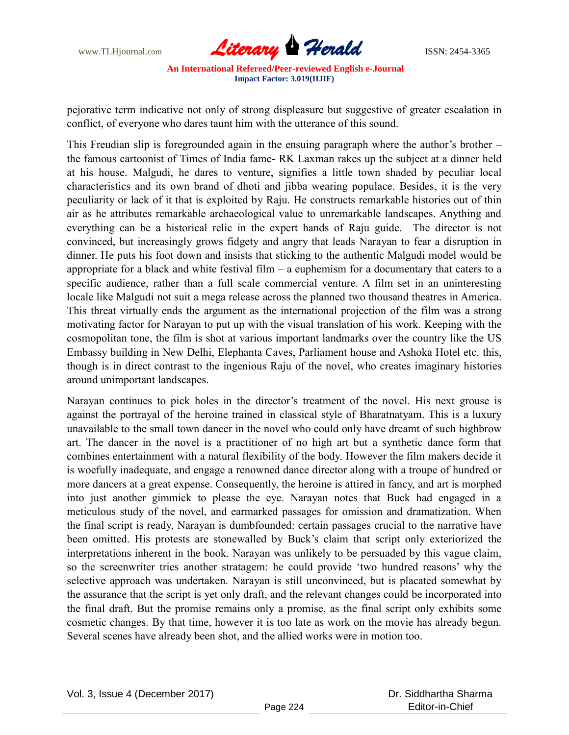

pejorative term indicative not only of strong displeasure but suggestive of greater escalation in conflict, of everyone who dares taunt him with the utterance of this sound.

This Freudian slip is foregrounded again in the ensuing paragraph where the author's brother – the famous cartoonist of Times of India fame- RK Laxman rakes up the subject at a dinner held at his house. Malgudi, he dares to venture, signifies a little town shaded by peculiar local characteristics and its own brand of dhoti and jibba wearing populace. Besides, it is the very peculiarity or lack of it that is exploited by Raju. He constructs remarkable histories out of thin air as he attributes remarkable archaeological value to unremarkable landscapes. Anything and everything can be a historical relic in the expert hands of Raju guide. The director is not convinced, but increasingly grows fidgety and angry that leads Narayan to fear a disruption in dinner. He puts his foot down and insists that sticking to the authentic Malgudi model would be appropriate for a black and white festival film – a euphemism for a documentary that caters to a specific audience, rather than a full scale commercial venture. A film set in an uninteresting locale like Malgudi not suit a mega release across the planned two thousand theatres in America. This threat virtually ends the argument as the international projection of the film was a strong motivating factor for Narayan to put up with the visual translation of his work. Keeping with the cosmopolitan tone, the film is shot at various important landmarks over the country like the US Embassy building in New Delhi, Elephanta Caves, Parliament house and Ashoka Hotel etc. this, though is in direct contrast to the ingenious Raju of the novel, who creates imaginary histories around unimportant landscapes.

Narayan continues to pick holes in the director's treatment of the novel. His next grouse is against the portrayal of the heroine trained in classical style of Bharatnatyam. This is a luxury unavailable to the small town dancer in the novel who could only have dreamt of such highbrow art. The dancer in the novel is a practitioner of no high art but a synthetic dance form that combines entertainment with a natural flexibility of the body. However the film makers decide it is woefully inadequate, and engage a renowned dance director along with a troupe of hundred or more dancers at a great expense. Consequently, the heroine is attired in fancy, and art is morphed into just another gimmick to please the eye. Narayan notes that Buck had engaged in a meticulous study of the novel, and earmarked passages for omission and dramatization. When the final script is ready, Narayan is dumbfounded: certain passages crucial to the narrative have been omitted. His protests are stonewalled by Buck's claim that script only exteriorized the interpretations inherent in the book. Narayan was unlikely to be persuaded by this vague claim, so the screenwriter tries another stratagem: he could provide "two hundred reasons" why the selective approach was undertaken. Narayan is still unconvinced, but is placated somewhat by the assurance that the script is yet only draft, and the relevant changes could be incorporated into the final draft. But the promise remains only a promise, as the final script only exhibits some cosmetic changes. By that time, however it is too late as work on the movie has already begun. Several scenes have already been shot, and the allied works were in motion too.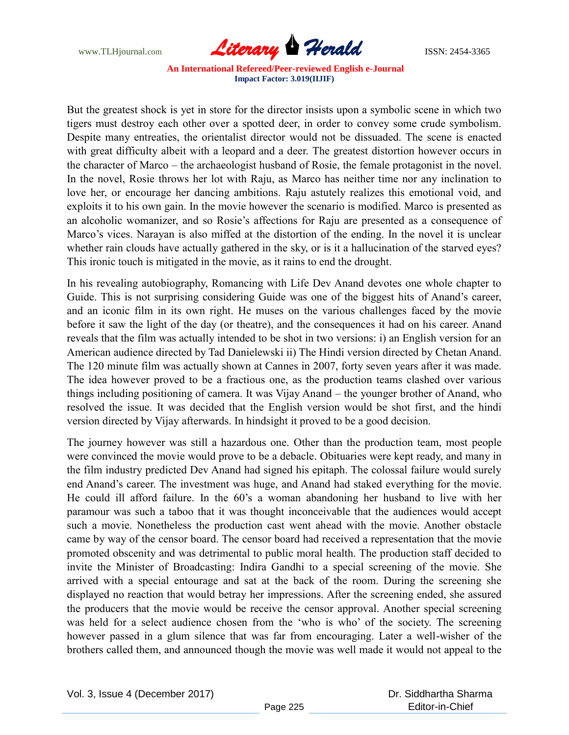

But the greatest shock is yet in store for the director insists upon a symbolic scene in which two tigers must destroy each other over a spotted deer, in order to convey some crude symbolism. Despite many entreaties, the orientalist director would not be dissuaded. The scene is enacted with great difficulty albeit with a leopard and a deer. The greatest distortion however occurs in the character of Marco – the archaeologist husband of Rosie, the female protagonist in the novel. In the novel, Rosie throws her lot with Raju, as Marco has neither time nor any inclination to love her, or encourage her dancing ambitions. Raju astutely realizes this emotional void, and exploits it to his own gain. In the movie however the scenario is modified. Marco is presented as an alcoholic womanizer, and so Rosie"s affections for Raju are presented as a consequence of Marco"s vices. Narayan is also miffed at the distortion of the ending. In the novel it is unclear whether rain clouds have actually gathered in the sky, or is it a hallucination of the starved eyes? This ironic touch is mitigated in the movie, as it rains to end the drought.

In his revealing autobiography, Romancing with Life Dev Anand devotes one whole chapter to Guide. This is not surprising considering Guide was one of the biggest hits of Anand"s career, and an iconic film in its own right. He muses on the various challenges faced by the movie before it saw the light of the day (or theatre), and the consequences it had on his career. Anand reveals that the film was actually intended to be shot in two versions: i) an English version for an American audience directed by Tad Danielewski ii) The Hindi version directed by Chetan Anand. The 120 minute film was actually shown at Cannes in 2007, forty seven years after it was made. The idea however proved to be a fractious one, as the production teams clashed over various things including positioning of camera. It was Vijay Anand – the younger brother of Anand, who resolved the issue. It was decided that the English version would be shot first, and the hindi version directed by Vijay afterwards. In hindsight it proved to be a good decision.

The journey however was still a hazardous one. Other than the production team, most people were convinced the movie would prove to be a debacle. Obituaries were kept ready, and many in the film industry predicted Dev Anand had signed his epitaph. The colossal failure would surely end Anand"s career. The investment was huge, and Anand had staked everything for the movie. He could ill afford failure. In the 60's a woman abandoning her husband to live with her paramour was such a taboo that it was thought inconceivable that the audiences would accept such a movie. Nonetheless the production cast went ahead with the movie. Another obstacle came by way of the censor board. The censor board had received a representation that the movie promoted obscenity and was detrimental to public moral health. The production staff decided to invite the Minister of Broadcasting: Indira Gandhi to a special screening of the movie. She arrived with a special entourage and sat at the back of the room. During the screening she displayed no reaction that would betray her impressions. After the screening ended, she assured the producers that the movie would be receive the censor approval. Another special screening was held for a select audience chosen from the "who is who" of the society. The screening however passed in a glum silence that was far from encouraging. Later a well-wisher of the brothers called them, and announced though the movie was well made it would not appeal to the

 Dr. Siddhartha Sharma Editor-in-Chief